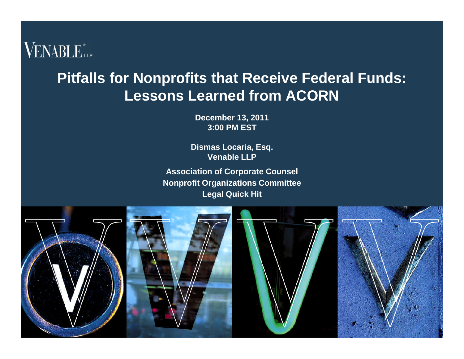### **VENABLE** LLP

#### **Pitfalls for Nonprofits that Receive Federal Funds: Lessons Learned from ACORN**

**December 13, 2011 3:00 PM EST**

**Dismas Locaria, Esq. Venable LLP**

**Association of Corporate Counsel Nonprofit Organizations Committee Legal Quick Hit**

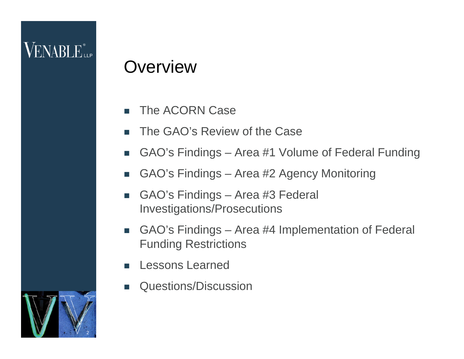# $\rm VENABLE^*_{\rm LP}$

### **Overview**

- The ACORN Case
- The GAO's Review of the Case
- GAO's Findings Area #1 Volume of Federal Funding
- GAO's Findings Area #2 Agency Monitoring
- GAO's Findings Area #3 Federal Investigations/Prosecutions
- GAO's Findings Area #4 Implementation of Federal Funding Restrictions
- Lessons Learned
- Questions/Discussion

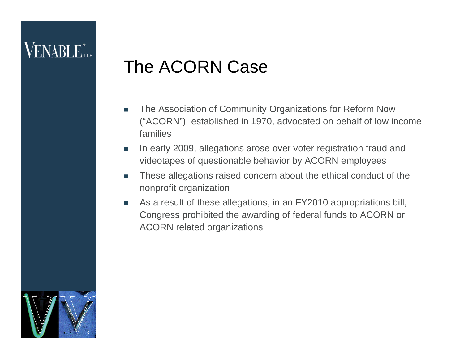# **VENABLE** LLP

### The ACORN Case

- **The Association of Community Organizations for Reform Now** ("ACORN"), established in 1970, advocated on behalf of low income families
- In early 2009, allegations arose over voter registration fraud and videotapes of questionable behavior by ACORN employees
- **These allegations raised concern about the ethical conduct of the** nonprofit organization
- As a result of these allegations, in an FY2010 appropriations bill, Congress prohibited the awarding of federal funds to ACORN or ACORN related organizations

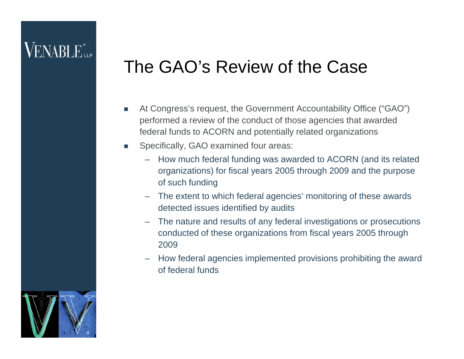### The GAO's Review of the Case

- At Congress's request, the Government Accountability Office ("GAO") performed a review of the conduct of those agencies that awarded federal funds to ACORN and potentially related organizations
- Specifically, GAO examined four areas:
	- How much federal funding was awarded to ACORN (and its related organizations) for fiscal years 2005 through 2009 and the purpose of such funding
	- The extent to which federal agencies' monitoring of these awards detected issues identified by audits
	- The nature and results of any federal investigations or prosecutions conducted of these organizations from fiscal years 2005 through 2009
	- How federal agencies implemented provisions prohibiting the award of federal funds

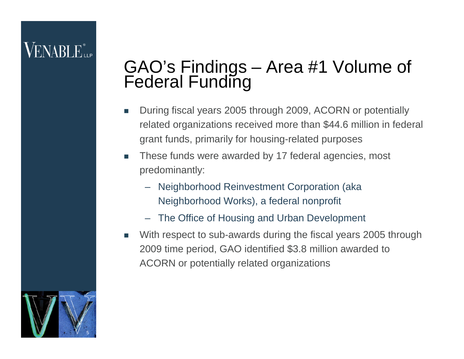# ENABLE...

### GAO's Findings – Area #1 Volume of Federal Funding

- During fiscal years 2005 through 2009, ACORN or potentially related organizations received more than \$44.6 million in federal grant funds, primarily for housing-related purposes
- These funds were awarded by 17 federal agencies, most predominantly:
	- Neighborhood Reinvestment Corporation (aka Neighborhood Works), a federal nonprofit
	- The Office of Housing and Urban Development
- With respect to sub-awards during the fiscal years 2005 through 2009 time period, GAO identified \$3.8 million awarded to ACORN or potentially related organizations

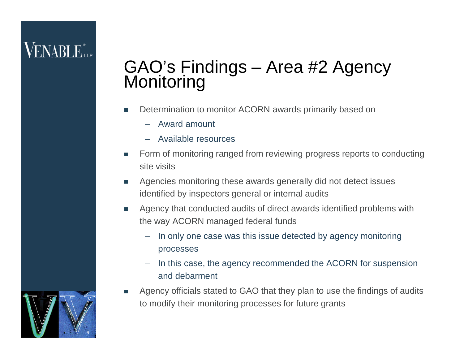### GAO's Findings – Area #2 Agency **Monitoring**

- Determination to monitor ACORN awards primarily based on
	- Award amount
	- Available resources
- **Form of monitoring ranged from reviewing progress reports to conducting** site visits
- **EXECUTE:** Agencies monitoring these awards generally did not detect issues identified by inspectors general or internal audits
- **EXECUTE:** Agency that conducted audits of direct awards identified problems with the way ACORN managed federal funds
	- In only one case was this issue detected by agency monitoring processes
	- In this case, the agency recommended the ACORN for suspension and debarment
- Agency officials stated to GAO that they plan to use the findings of audits to modify their monitoring processes for future grants

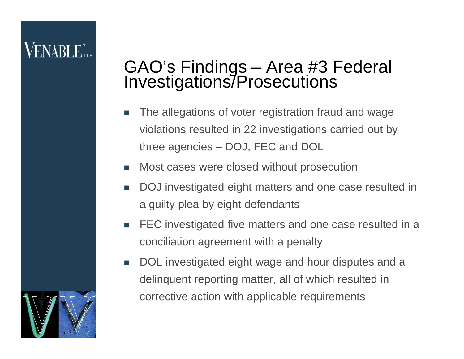#### GAO's Findings – Area #3 Federal Investigations/Prosecutions

- The allegations of voter registration fraud and wage violations resulted in 22 investigations carried out by three agencies – DOJ, FEC and DOL
- **Most cases were closed without prosecution**
- DOJ investigated eight matters and one case resulted in a guilty plea by eight defendants
- **FEC** investigated five matters and one case resulted in a conciliation agreement with a penalty
- DOL investigated eight wage and hour disputes and a delinquent reporting matter, all of which resulted in corrective action with applicable requirements

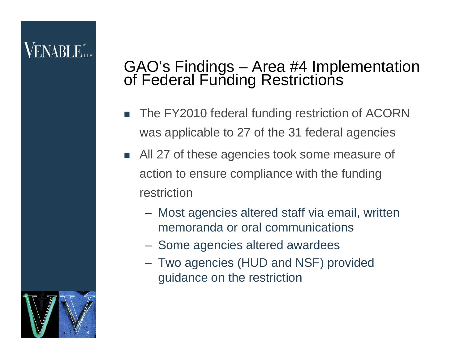#### GAO's Findings – Area #4 Implementation of Federal Funding Restrictions

- The FY2010 federal funding restriction of ACORN was applicable to 27 of the 31 federal agencies
- All 27 of these agencies took some measure of action to ensure compliance with the funding restriction
	- Most agencies altered staff via email, written memoranda or oral communications
	- Some agencies altered awardees
	- Two agencies (HUD and NSF) provided guidance on the restriction

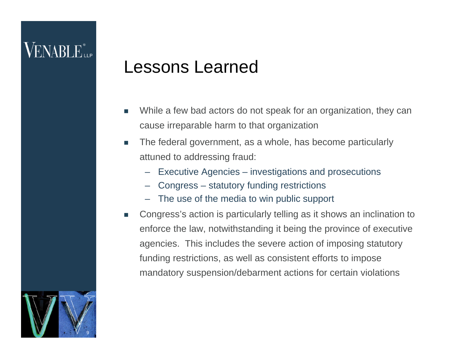### Lessons Learned

- While a few bad actors do not speak for an organization, they can cause irreparable harm to that organization
- The federal government, as a whole, has become particularly attuned to addressing fraud:
	- Executive Agencies investigations and prosecutions
	- Congress statutory funding restrictions
	- The use of the media to win public support
- Congress's action is particularly telling as it shows an inclination to enforce the law, notwithstanding it being the province of executive agencies. This includes the severe action of imposing statutory funding restrictions, as well as consistent efforts to impose mandatory suspension/debarment actions for certain violations

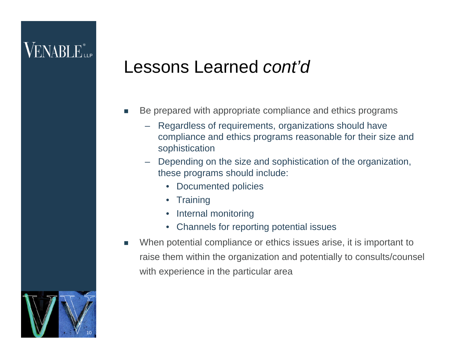### Lessons Learned *cont'd*

- Be prepared with appropriate compliance and ethics programs
	- Regardless of requirements, organizations should have compliance and ethics programs reasonable for their size and sophistication
	- Depending on the size and sophistication of the organization, these programs should include:
		- Documented policies
		- Training
		- Internal monitoring
		- Channels for reporting potential issues
- When potential compliance or ethics issues arise, it is important to raise them within the organization and potentially to consults/counsel with experience in the particular area